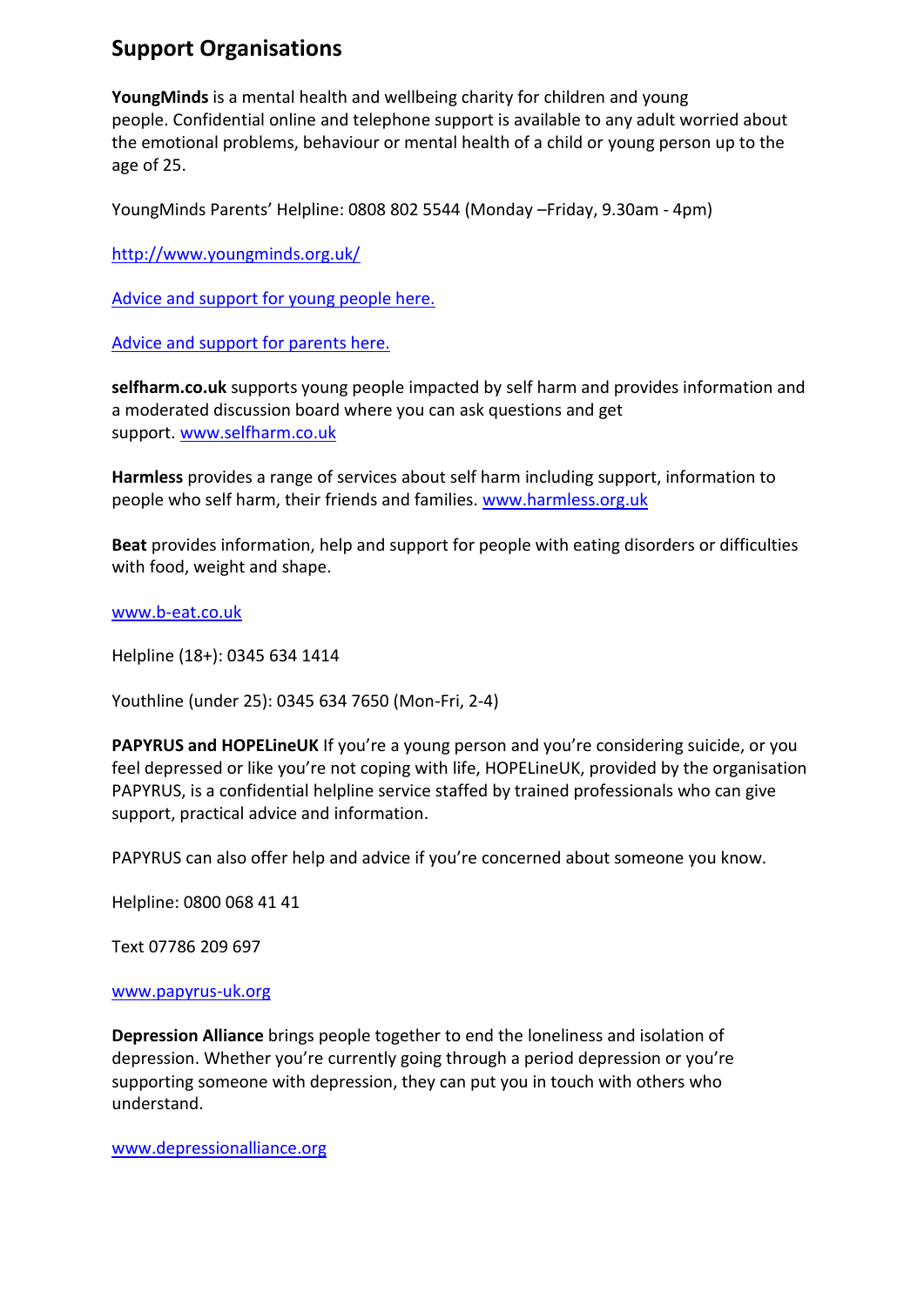# **Support Organisations**

**YoungMinds** is a mental health and wellbeing charity for children and young people. Confidential online and telephone support is available to any adult worried about the emotional problems, behaviour or mental health of a child or young person up to the age of 25.

YoungMinds Parents' Helpline: 0808 802 5544 (Monday –Friday, 9.30am - 4pm)

<http://www.youngminds.org.uk/>

[Advice and support for young people here.](http://www.youngminds.org.uk/for_children_young_people)

[Advice and support for parents here.](http://www.youngminds.org.uk/for_parents)

**selfharm.co.uk** supports young people impacted by self harm and provides information and a moderated discussion board where you can ask questions and get support. [www.selfharm.co.uk](http://www.selfharm.co.uk/)

**Harmless** provides a range of services about self harm including support, information to people who self harm, their friends and families. [www.harmless.org.uk](http://www.harmless.org.uk/)

**Beat** provides information, help and support for people with eating disorders or difficulties with food, weight and shape.

[www.b-eat.co.uk](http://www.b-eat.co.uk/)

Helpline (18+): 0345 634 1414

Youthline (under 25): 0345 634 7650 (Mon-Fri, 2-4)

PAPYRUS and HOPELineUK If you're a young person and you're considering suicide, or you feel depressed or like you're not coping with life, HOPELineUK, provided by the organisation PAPYRUS, is a confidential helpline service staffed by trained professionals who can give support, practical advice and information.

PAPYRUS can also offer help and advice if you're concerned about someone you know.

Helpline: 0800 068 41 41

Text 07786 209 697

#### [www.papyrus-uk.org](http://www.papyrus-uk.org/)

**Depression Alliance** brings people together to end the loneliness and isolation of depression. Whether you're currently going through a period depression or you're supporting someone with depression, they can put you in touch with others who understand.

[www.depressionalliance.org](http://www.depressionalliance.org/)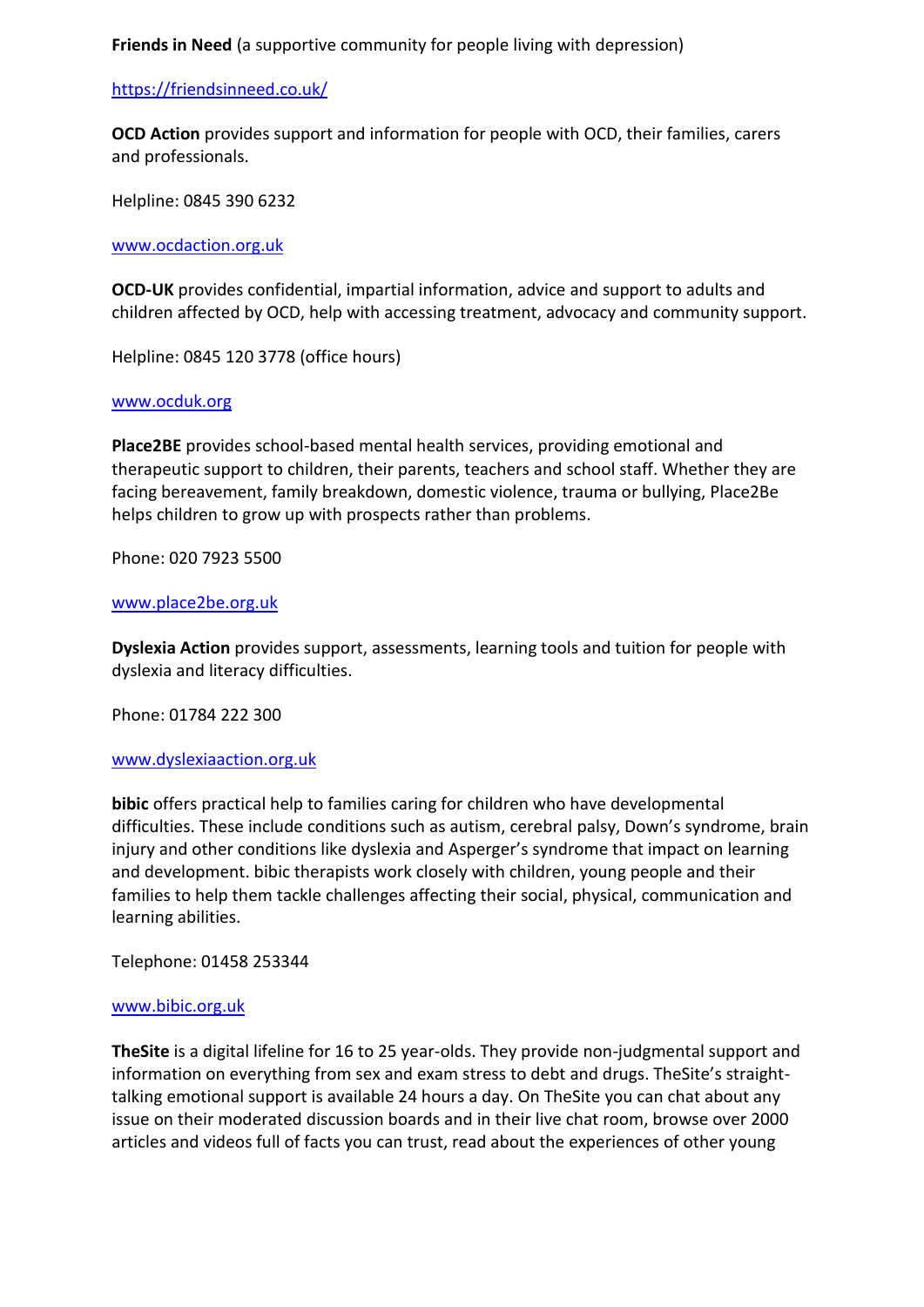**Friends in Need** (a supportive community for people living with depression)

## <https://friendsinneed.co.uk/>

**OCD Action** provides support and information for people with OCD, their families, carers and professionals.

Helpline: 0845 390 6232

[www.ocdaction.org.uk](http://www.ocdaction.org.uk/)

**OCD-UK** provides confidential, impartial information, advice and support to adults and children affected by OCD, help with accessing treatment, advocacy and community support.

Helpline: 0845 120 3778 (office hours)

## [www.ocduk.org](http://www.ocduk.org/)

**Place2BE** provides school-based mental health services, providing emotional and therapeutic support to children, their parents, teachers and school staff. Whether they are facing bereavement, family breakdown, domestic violence, trauma or bullying, Place2Be helps children to grow up with prospects rather than problems.

Phone: 020 7923 5500

## [www.place2be.org.uk](http://www.place2be.org.uk/)

**Dyslexia Action** provides support, assessments, learning tools and tuition for people with dyslexia and literacy difficulties.

Phone: 01784 222 300

#### [www.dyslexiaaction.org.uk](http://www.dyslexiaaction.org.uk/)

**bibic** offers practical help to families caring for children who have developmental difficulties. These include conditions such as autism, cerebral palsy, Down's syndrome, brain injury and other conditions like dyslexia and Asperger's syndrome that impact on learning and development. bibic therapists work closely with children, young people and their families to help them tackle challenges affecting their social, physical, communication and learning abilities.

Telephone: 01458 253344

#### [www.bibic.org.uk](http://www.bibic.org.uk/)

**TheSite** is a digital lifeline for 16 to 25 year-olds. They provide non-judgmental support and information on everything from sex and exam stress to debt and drugs. TheSite's straighttalking emotional support is available 24 hours a day. On TheSite you can chat about any issue on their moderated discussion boards and in their live chat room, browse over 2000 articles and videos full of facts you can trust, read about the experiences of other young